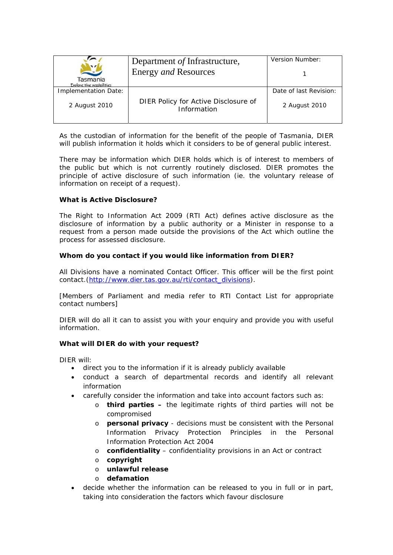| Department of Infrastructure,                       | Version Number:             |
|-----------------------------------------------------|-----------------------------|
|                                                     |                             |
|                                                     |                             |
|                                                     | Date of last Revision:      |
| DIER Policy for Active Disclosure of<br>Information | 2 August 2010               |
|                                                     | <b>Energy and Resources</b> |

As the custodian of information for the benefit of the people of Tasmania, DIER will publish information it holds which it considers to be of general public interest.

There may be information which DIER holds which is of interest to members of the public but which is not currently routinely disclosed. DIER promotes the principle of active disclosure of such information (*ie.* the voluntary release of information on receipt of a request).

### **What is Active Disclosure?**

The *Right to Information Act 2009* (RTI Act) defines active disclosure as the disclosure of information by a public authority or a Minister in response to a request from a person made outside the provisions of the Act which outline the process for assessed disclosure.

# **Whom do you contact if you would like information from DIER?**

All Divisions have a nominated Contact Officer. This officer will be the first point contact.(http://www.dier.tas.gov.au/rti/contact\_divisions).

[*Members of Parliament* and *media* refer to RTI Contact List for appropriate contact numbers]

DIER will do all it can to assist you with your enquiry and provide you with useful information.

### **What will DIER do with your request?**

DIER will:

- direct you to the information if it is already publicly available
- conduct a search of departmental records and identify all relevant information
- carefully consider the information and take into account factors such as:
	- o **third parties** the legitimate rights of third parties will not be compromised
	- o **personal privacy** decisions must be consistent with the Personal Information Privacy Protection Principles in the *Personal Information Protection Act 2004*
	- o **confidentiality** confidentiality provisions in an Act or contract
	- o **copyright**
	- o **unlawful release**
	- o **defamation**
- decide whether the information can be released to you in full or in part, taking into consideration the factors which favour disclosure